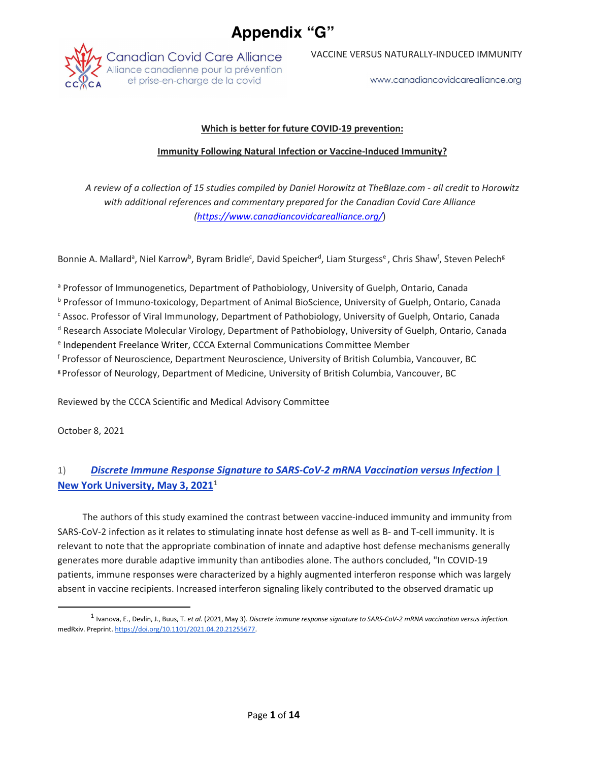# **Appendix "G"**



VACCINE VERSUS NATURALLY-INDUCED IMMUNITY

www.canadiancovidcarealliance.org

### **Which is better for future COVID-19 prevention:**

#### **Immunity Following Natural Infection or Vaccine-Induced Immunity?**

*A review of a collection of 15 studies compiled by Daniel Horowitz at TheBlaze.com - all credit to Horowitz with additional references and commentary prepared for the Canadian Covid Care Alliance (https://www.canadiancovidcarealliance.org/*)

Bonnie A. Mallard<sup>a</sup>, Niel Karrow<sup>b</sup>, Byram Bridle<sup>c</sup>, David Speicher<sup>d</sup>, Liam Sturgess<sup>e</sup>, Chris Shaw<sup>f</sup>, Steven Pelech<sup>g</sup>

<sup>a</sup> Professor of Immunogenetics, Department of Pathobiology, University of Guelph, Ontario, Canada

<sup>b</sup> Professor of Immuno-toxicology, Department of Animal BioScience, University of Guelph, Ontario, Canada

<sup>c</sup> Assoc. Professor of Viral Immunology, Department of Pathobiology, University of Guelph, Ontario, Canada

<sup>d</sup> Research Associate Molecular Virology, Department of Pathobiology, University of Guelph, Ontario, Canada

<sup>e</sup> Independent Freelance Writer, CCCA External Communications Committee Member

<sup>f</sup> Professor of Neuroscience, Department Neuroscience, University of British Columbia, Vancouver, BC

g Professor of Neurology, Department of Medicine, University of British Columbia, Vancouver, BC

Reviewed by the CCCA Scientific and Medical Advisory Committee

October 8, 2021

# 1) *Discrete Immune Response Signature to SARS-CoV-2 mRNA Vaccination versus Infection* **| New York University, May 3, 2021**<sup>1</sup>

The authors of this study examined the contrast between vaccine-induced immunity and immunity from SARS-CoV-2 infection as it relates to stimulating innate host defense as well as B- and T-cell immunity. It is relevant to note that the appropriate combination of innate and adaptive host defense mechanisms generally generates more durable adaptive immunity than antibodies alone. The authors concluded, "In COVID-19 patients, immune responses were characterized by a highly augmented interferon response which was largely absent in vaccine recipients. Increased interferon signaling likely contributed to the observed dramatic up

 <sup>1</sup> Ivanova, E., Devlin, J., Buus, T. *et al.* (2021, May 3). *Discrete immune response signature to SARS-CoV-2 mRNA vaccination versus infection.* medRxiv. Preprint. https://doi.org/10.1101/2021.04.20.21255677.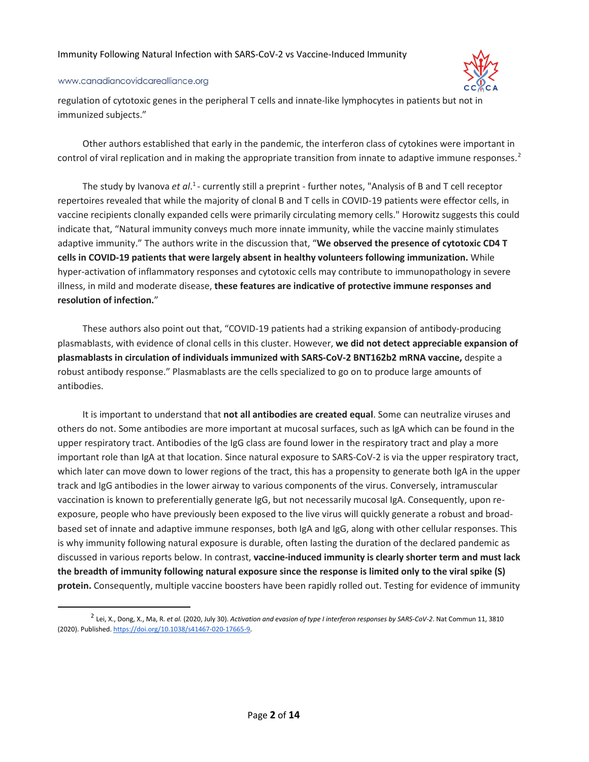#### www.canadiancovidcarealliance.org



regulation of cytotoxic genes in the peripheral T cells and innate-like lymphocytes in patients but not in immunized subjects."

Other authors established that early in the pandemic, the interferon class of cytokines were important in control of viral replication and in making the appropriate transition from innate to adaptive immune responses.<sup>2</sup>

The study by Ivanova et al.<sup>1</sup> - currently still a preprint - further notes, "Analysis of B and T cell receptor repertoires revealed that while the majority of clonal B and T cells in COVID-19 patients were effector cells, in vaccine recipients clonally expanded cells were primarily circulating memory cells." Horowitz suggests this could indicate that, "Natural immunity conveys much more innate immunity, while the vaccine mainly stimulates adaptive immunity." The authors write in the discussion that, "**We observed the presence of cytotoxic CD4 T cells in COVID-19 patients that were largely absent in healthy volunteers following immunization.** While hyper-activation of inflammatory responses and cytotoxic cells may contribute to immunopathology in severe illness, in mild and moderate disease, **these features are indicative of protective immune responses and resolution of infection.**"

These authors also point out that, "COVID-19 patients had a striking expansion of antibody-producing plasmablasts, with evidence of clonal cells in this cluster. However, **we did not detect appreciable expansion of plasmablasts in circulation of individuals immunized with SARS-CoV-2 BNT162b2 mRNA vaccine,** despite a robust antibody response." Plasmablasts are the cells specialized to go on to produce large amounts of antibodies.

It is important to understand that **not all antibodies are created equal**. Some can neutralize viruses and others do not. Some antibodies are more important at mucosal surfaces, such as IgA which can be found in the upper respiratory tract. Antibodies of the IgG class are found lower in the respiratory tract and play a more important role than IgA at that location. Since natural exposure to SARS-CoV-2 is via the upper respiratory tract, which later can move down to lower regions of the tract, this has a propensity to generate both IgA in the upper track and IgG antibodies in the lower airway to various components of the virus. Conversely, intramuscular vaccination is known to preferentially generate IgG, but not necessarily mucosal IgA. Consequently, upon reexposure, people who have previously been exposed to the live virus will quickly generate a robust and broadbased set of innate and adaptive immune responses, both IgA and IgG, along with other cellular responses. This is why immunity following natural exposure is durable, often lasting the duration of the declared pandemic as discussed in various reports below. In contrast, **vaccine-induced immunity is clearly shorter term and must lack the breadth of immunity following natural exposure since the response is limited only to the viral spike (S) protein.** Consequently, multiple vaccine boosters have been rapidly rolled out. Testing for evidence of immunity

 <sup>2</sup> Lei, X., Dong, X., Ma, R. *et al.* (2020, July 30). *Activation and evasion of type I interferon responses by SARS-CoV-2*. Nat Commun 11, 3810 (2020). Published. https://doi.org/10.1038/s41467-020-17665-9.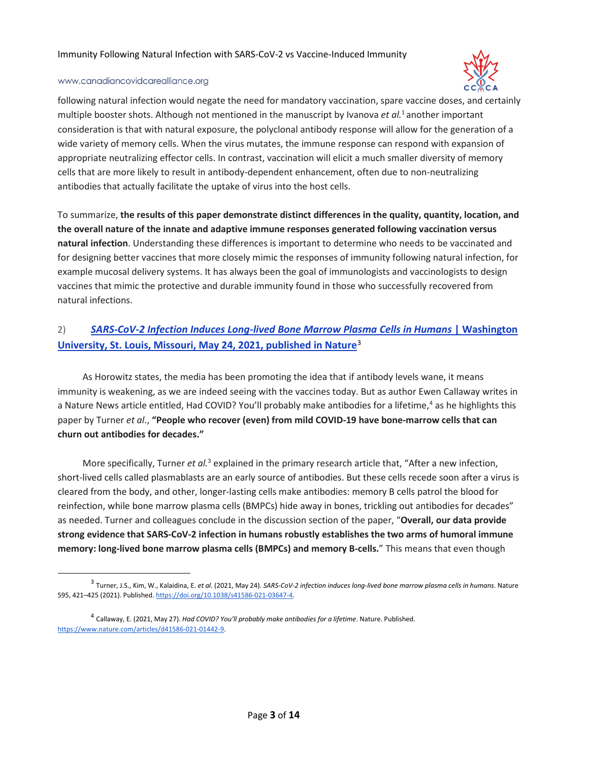

#### www.canadiancovidcarealliance.org

following natural infection would negate the need for mandatory vaccination, spare vaccine doses, and certainly multiple booster shots. Although not mentioned in the manuscript by Ivanova et al.<sup>1</sup> another important consideration is that with natural exposure, the polyclonal antibody response will allow for the generation of a wide variety of memory cells. When the virus mutates, the immune response can respond with expansion of appropriate neutralizing effector cells. In contrast, vaccination will elicit a much smaller diversity of memory cells that are more likely to result in antibody-dependent enhancement, often due to non-neutralizing antibodies that actually facilitate the uptake of virus into the host cells.

To summarize, **the results of this paper demonstrate distinct differences in the quality, quantity, location, and the overall nature of the innate and adaptive immune responses generated following vaccination versus natural infection**. Understanding these differences is important to determine who needs to be vaccinated and for designing better vaccines that more closely mimic the responses of immunity following natural infection, for example mucosal delivery systems. It has always been the goal of immunologists and vaccinologists to design vaccines that mimic the protective and durable immunity found in those who successfully recovered from natural infections.

### 2) *SARS-CoV-2 Infection Induces Long-lived Bone Marrow Plasma Cells in Humans* **| Washington University, St. Louis, Missouri, May 24, 2021, published in Nature**<sup>3</sup>

As Horowitz states, the media has been promoting the idea that if antibody levels wane, it means immunity is weakening, as we are indeed seeing with the vaccines today. But as author Ewen Callaway writes in a Nature News article entitled, Had COVID? You'll probably make antibodies for a lifetime,<sup>4</sup> as he highlights this paper by Turner *et al*., **"People who recover (even) from mild COVID-19 have bone-marrow cells that can churn out antibodies for decades."**

More specifically, Turner *et al.*<sup>3</sup> explained in the primary research article that, "After a new infection, short-lived cells called plasmablasts are an early source of antibodies. But these cells recede soon after a virus is cleared from the body, and other, longer-lasting cells make antibodies: memory B cells patrol the blood for reinfection, while bone marrow plasma cells (BMPCs) hide away in bones, trickling out antibodies for decades" as needed. Turner and colleagues conclude in the discussion section of the paper, "**Overall, our data provide strong evidence that SARS-CoV-2 infection in humans robustly establishes the two arms of humoral immune memory: long-lived bone marrow plasma cells (BMPCs) and memory B-cells.**" This means that even though

 <sup>3</sup> Turner, J.S., Kim, W., Kalaidina, E. *et al.* (2021, May 24). *SARS-CoV-2 infection induces long-lived bone marrow plasma cells in humans*. Nature 595, 421–425 (2021). Published. https://doi.org/10.1038/s41586-021-03647-4.

<sup>4</sup> Callaway, E. (2021, May 27). *Had COVID? You'll probably make antibodies for a lifetime*. Nature. Published. https://www.nature.com/articles/d41586-021-01442-9.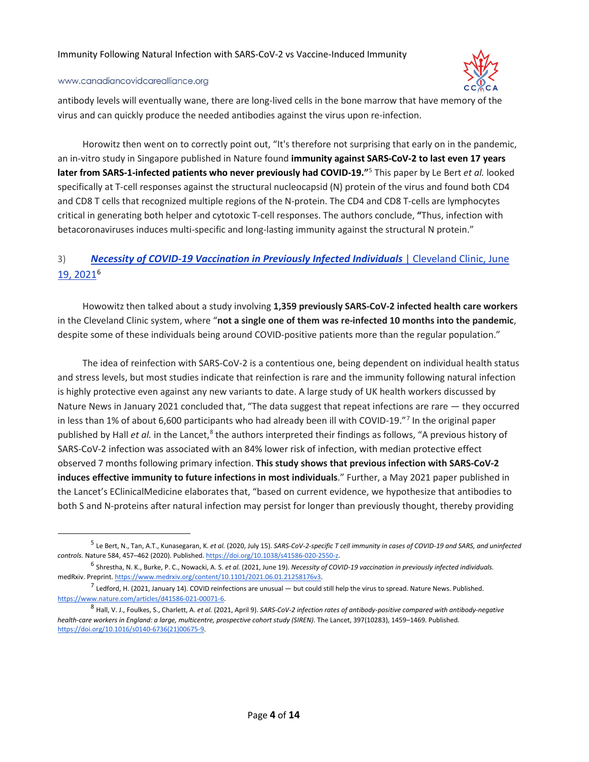

antibody levels will eventually wane, there are long-lived cells in the bone marrow that have memory of the virus and can quickly produce the needed antibodies against the virus upon re-infection.

Horowitz then went on to correctly point out, "It's therefore not surprising that early on in the pandemic, an in-vitro study in Singapore published in Nature found **immunity against SARS-CoV-2 to last even 17 years later from SARS-1-infected patients who never previously had COVID-19."**<sup>5</sup> This paper by Le Bert *et al.* looked specifically at T-cell responses against the structural nucleocapsid (N) protein of the virus and found both CD4 and CD8 T cells that recognized multiple regions of the N-protein. The CD4 and CD8 T-cells are lymphocytes critical in generating both helper and cytotoxic T-cell responses. The authors conclude, **"**Thus, infection with betacoronaviruses induces multi-specific and long-lasting immunity against the structural N protein."

### 3) *Necessity of COVID-19 Vaccination in Previously Infected Individuals* | Cleveland Clinic, June 19, 20216

Howowitz then talked about a study involving **1,359 previously SARS-CoV-2 infected health care workers** in the Cleveland Clinic system, where "**not a single one of them was re-infected 10 months into the pandemic**, despite some of these individuals being around COVID-positive patients more than the regular population."

The idea of reinfection with SARS-CoV-2 is a contentious one, being dependent on individual health status and stress levels, but most studies indicate that reinfection is rare and the immunity following natural infection is highly protective even against any new variants to date. A large study of UK health workers discussed by Nature News in January 2021 concluded that, "The data suggest that repeat infections are rare — they occurred in less than 1% of about 6,600 participants who had already been ill with COVID-19."7 In the original paper published by Hall *et al.* in the Lancet,<sup>8</sup> the authors interpreted their findings as follows, "A previous history of SARS-CoV-2 infection was associated with an 84% lower risk of infection, with median protective effect observed 7 months following primary infection. **This study shows that previous infection with SARS-CoV-2 induces effective immunity to future infections in most individuals**." Further, a May 2021 paper published in the Lancet's EClinicalMedicine elaborates that, "based on current evidence, we hypothesize that antibodies to both S and N-proteins after natural infection may persist for longer than previously thought, thereby providing

 <sup>5</sup> Le Bert, N., Tan, A.T., Kunasegaran, K. *et al.* (2020, July 15). *SARS-CoV-2-specific T cell immunity in cases of COVID-19 and SARS, and uninfected controls.* Nature 584, 457–462 (2020). Published. https://doi.org/10.1038/s41586-020-2550-z.

<sup>6</sup> Shrestha, N. K., Burke, P. C., Nowacki, A. S. *et al.* (2021, June 19). *Necessity of COVID-19 vaccination in previously infected individuals.* medRxiv. Preprint. https://www.medrxiv.org/content/10.1101/2021.06.01.21258176v3.

 $^7$  Ledford, H. (2021, January 14). COVID reinfections are unusual — but could still help the virus to spread. Nature News. Published. https://www.nature.com/articles/d41586-021-00071-6.

<sup>8</sup> Hall, V. J., Foulkes, S., Charlett, A. *et al.* (2021, April 9). *SARS-CoV-2 infection rates of antibody-positive compared with antibody-negative health-care workers in England: a large, multicentre, prospective cohort study (SIREN).* The Lancet, 397(10283), 1459–1469. Published. https://doi.org/10.1016/s0140-6736(21)00675-9.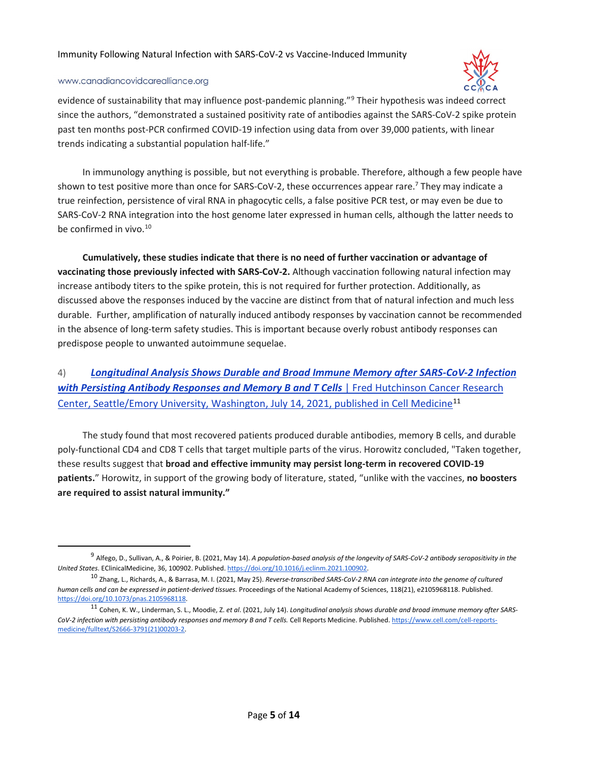

#### www.canadiancovidcarealliance.org

evidence of sustainability that may influence post-pandemic planning."<sup>9</sup> Their hypothesis was indeed correct since the authors, "demonstrated a sustained positivity rate of antibodies against the SARS-CoV-2 spike protein past ten months post-PCR confirmed COVID-19 infection using data from over 39,000 patients, with linear trends indicating a substantial population half-life."

In immunology anything is possible, but not everything is probable. Therefore, although a few people have shown to test positive more than once for SARS-CoV-2, these occurrences appear rare.<sup>7</sup> They may indicate a true reinfection, persistence of viral RNA in phagocytic cells, a false positive PCR test, or may even be due to SARS-CoV-2 RNA integration into the host genome later expressed in human cells, although the latter needs to be confirmed in vivo.<sup>10</sup>

**Cumulatively, these studies indicate that there is no need of further vaccination or advantage of vaccinating those previously infected with SARS-CoV-2.** Although vaccination following natural infection may increase antibody titers to the spike protein, this is not required for further protection. Additionally, as discussed above the responses induced by the vaccine are distinct from that of natural infection and much less durable. Further, amplification of naturally induced antibody responses by vaccination cannot be recommended in the absence of long-term safety studies. This is important because overly robust antibody responses can predispose people to unwanted autoimmune sequelae.

# 4) *Longitudinal Analysis Shows Durable and Broad Immune Memory after SARS-CoV-2 Infection with Persisting Antibody Responses and Memory B and T Cells* | Fred Hutchinson Cancer Research Center, Seattle/Emory University, Washington, July 14, 2021, published in Cell Medicine<sup>11</sup>

The study found that most recovered patients produced durable antibodies, memory B cells, and durable poly-functional CD4 and CD8 T cells that target multiple parts of the virus. Horowitz concluded, "Taken together, these results suggest that **broad and effective immunity may persist long-term in recovered COVID-19 patients.**" Horowitz, in support of the growing body of literature, stated, "unlike with the vaccines, **no boosters are required to assist natural immunity."**

 <sup>9</sup> Alfego, D., Sullivan, A., & Poirier, B. (2021, May 14). *A population-based analysis of the longevity of SARS-CoV-2 antibody seropositivity in the United States*. EClinicalMedicine, 36, 100902. Published. https://doi.org/10.1016/j.eclinm.2021.100902.

<sup>10</sup> Zhang, L., Richards, A., & Barrasa, M. I. (2021, May 25). *Reverse-transcribed SARS-CoV-2 RNA can integrate into the genome of cultured human cells and can be expressed in patient-derived tissues.* Proceedings of the National Academy of Sciences, 118(21), e2105968118. Published. https://doi.org/10.1073/pnas.2105968118.

<sup>11</sup> Cohen, K. W., Linderman, S. L., Moodie, Z. *et al*. (2021, July 14). *Longitudinal analysis shows durable and broad immune memory after SARS-CoV-2 infection with persisting antibody responses and memory B and T cells.* Cell Reports Medicine. Published. https://www.cell.com/cell-reportsmedicine/fulltext/S2666-3791(21)00203-2.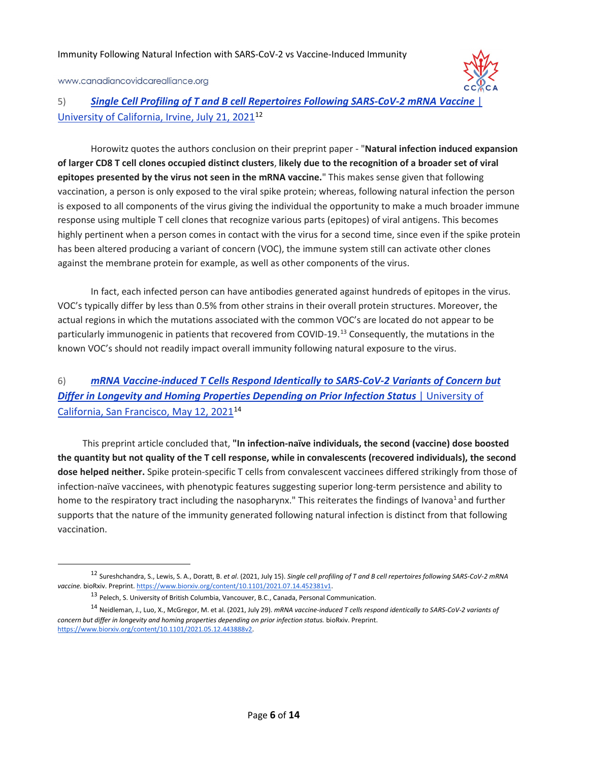

5) **Single Cell Profiling of T and B cell Repertoires Following SARS-CoV-2 mRNA Vaccine** University of California, Irvine, July 21, 202112

Horowitz quotes the authors conclusion on their preprint paper - "**Natural infection induced expansion of larger CD8 T cell clones occupied distinct clusters**, **likely due to the recognition of a broader set of viral epitopes presented by the virus not seen in the mRNA vaccine.**" This makes sense given that following vaccination, a person is only exposed to the viral spike protein; whereas, following natural infection the person is exposed to all components of the virus giving the individual the opportunity to make a much broader immune response using multiple T cell clones that recognize various parts (epitopes) of viral antigens. This becomes highly pertinent when a person comes in contact with the virus for a second time, since even if the spike protein has been altered producing a variant of concern (VOC), the immune system still can activate other clones against the membrane protein for example, as well as other components of the virus.

In fact, each infected person can have antibodies generated against hundreds of epitopes in the virus. VOC's typically differ by less than 0.5% from other strains in their overall protein structures. Moreover, the actual regions in which the mutations associated with the common VOC's are located do not appear to be particularly immunogenic in patients that recovered from COVID-19.13 Consequently, the mutations in the known VOC's should not readily impact overall immunity following natural exposure to the virus.

# 6) *mRNA Vaccine-induced T Cells Respond Identically to SARS-CoV-2 Variants of Concern but*  **Differ in Longevity and Homing Properties Depending on Prior Infection Status | University of** California, San Francisco, May 12, 202114

This preprint article concluded that, **"In infection-naïve individuals, the second (vaccine) dose boosted the quantity but not quality of the T cell response, while in convalescents (recovered individuals), the second dose helped neither.** Spike protein-specific T cells from convalescent vaccinees differed strikingly from those of infection-naïve vaccinees, with phenotypic features suggesting superior long-term persistence and ability to home to the respiratory tract including the nasopharynx." This reiterates the findings of Ivanova<sup>1</sup> and further supports that the nature of the immunity generated following natural infection is distinct from that following vaccination.

 <sup>12</sup> Sureshchandra, S., Lewis, S. A., Doratt, B. *et al*. (2021, July 15). *Single cell profiling of T and B cell repertoires following SARS-CoV-2 mRNA*  vaccine. bioRxiv. Preprint. https://www.biorxiv.org/content/10.1101/2021.07.14.452381v1.

<sup>13</sup> Pelech, S. University of British Columbia, Vancouver, B.C., Canada, Personal Communication.

<sup>14</sup> Neidleman, J., Luo, X., McGregor, M. et al. (2021, July 29). *mRNA vaccine-induced T cells respond identically to SARS-CoV-2 variants of concern but differ in longevity and homing properties depending on prior infection status.* bioRxiv. Preprint. https://www.biorxiv.org/content/10.1101/2021.05.12.443888v2.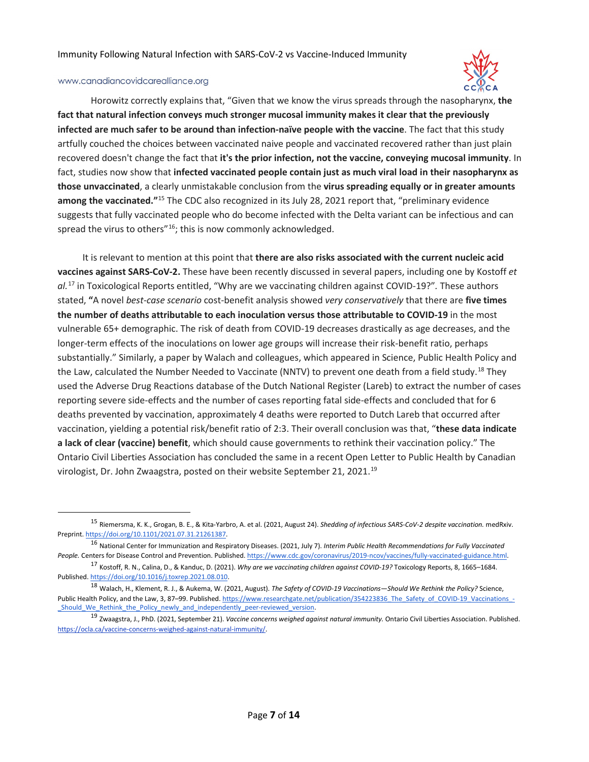

Horowitz correctly explains that, "Given that we know the virus spreads through the nasopharynx, **the fact that natural infection conveys much stronger mucosal immunity makes it clear that the previously infected are much safer to be around than infection-naïve people with the vaccine**. The fact that this study artfully couched the choices between vaccinated naive people and vaccinated recovered rather than just plain recovered doesn't change the fact that **it's the prior infection, not the vaccine, conveying mucosal immunity**. In fact, studies now show that **infected vaccinated people contain just as much viral load in their nasopharynx as those unvaccinated**, a clearly unmistakable conclusion from the **virus spreading equally or in greater amounts among the vaccinated."**<sup>15</sup> The CDC also recognized in its July 28, 2021 report that, "preliminary evidence suggests that fully vaccinated people who do become infected with the Delta variant can be infectious and can spread the virus to others"<sup>16</sup>; this is now commonly acknowledged.

It is relevant to mention at this point that **there are also risks associated with the current nucleic acid vaccines against SARS-CoV-2.** These have been recently discussed in several papers, including one by Kostoff *et al.*<sup>17</sup> in Toxicological Reports entitled, "Why are we vaccinating children against COVID-19?"*.* These authors stated, **"**A novel *best-case scenario* cost-benefit analysis showed *very conservatively* that there are **five times the number of deaths attributable to each inoculation versus those attributable to COVID-19** in the most vulnerable 65+ demographic. The risk of death from COVID-19 decreases drastically as age decreases, and the longer-term effects of the inoculations on lower age groups will increase their risk-benefit ratio, perhaps substantially." Similarly, a paper by Walach and colleagues, which appeared in Science, Public Health Policy and the Law, calculated the Number Needed to Vaccinate (NNTV) to prevent one death from a field study.<sup>18</sup> They used the Adverse Drug Reactions database of the Dutch National Register (Lareb) to extract the number of cases reporting severe side-effects and the number of cases reporting fatal side-effects and concluded that for 6 deaths prevented by vaccination, approximately 4 deaths were reported to Dutch Lareb that occurred after vaccination, yielding a potential risk/benefit ratio of 2:3. Their overall conclusion was that, "**these data indicate a lack of clear (vaccine) benefit**, which should cause governments to rethink their vaccination policy." The Ontario Civil Liberties Association has concluded the same in a recent Open Letter to Public Health by Canadian virologist, Dr. John Zwaagstra, posted on their website September 21, 2021.<sup>19</sup>

 <sup>15</sup> Riemersma, K. K., Grogan, B. E., & Kita-Yarbro, A. et al. (2021, August 24). *Shedding of infectious SARS-CoV-2 despite vaccination.* medRxiv. Preprint. https://doi.org/10.1101/2021.07.31.21261387.

<sup>16</sup> National Center for Immunization and Respiratory Diseases. (2021, July 7). *Interim Public Health Recommendations for Fully Vaccinated*  People. Centers for Disease Control and Prevention. Published. https://www.cdc.gov/coronavirus/2019-ncov/vaccines/fully-vaccinated-guidance.html.<br><sup>17</sup> Kostoff, R. N., Calina, D., & Kanduc, D. (2021). *Why are we vaccinatin* 

Published. https://doi.org/10.1016/j.toxrep.2021.08.010.

<sup>18</sup> Walach, H., Klement, R. J., & Aukema, W. (2021, August). *The Safety of COVID-19 Vaccinations—Should We Rethink the Policy?* Science, Public Health Policy, and the Law, 3, 87–99. Published. https://www.researchgate.net/publication/354223836\_The\_Safety\_of\_COVID-19\_Vaccinations\_ \_Should\_We\_Rethink\_the\_Policy\_newly\_and\_independently\_peer-reviewed\_version.

<sup>19</sup> Zwaagstra, J., PhD. (2021, September 21). *Vaccine concerns weighed against natural immunity.* Ontario Civil Liberties Association. Published. https://ocla.ca/vaccine-concerns-weighed-against-natural-immunity/.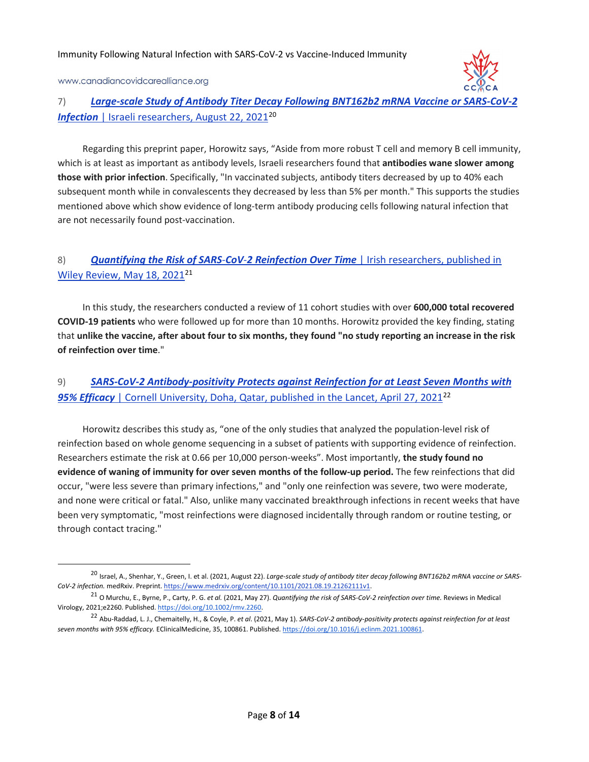### 7) *Large-scale Study of Antibody Titer Decay Following BNT162b2 mRNA Vaccine or SARS-CoV-2*  **Infection** | Israeli researchers, August 22, 2021<sup>20</sup>

Regarding this preprint paper, Horowitz says, "Aside from more robust T cell and memory B cell immunity, which is at least as important as antibody levels, Israeli researchers found that **antibodies wane slower among those with prior infection**. Specifically, "In vaccinated subjects, antibody titers decreased by up to 40% each subsequent month while in convalescents they decreased by less than 5% per month." This supports the studies mentioned above which show evidence of long-term antibody producing cells following natural infection that are not necessarily found post-vaccination.

# 8) *Quantifying the Risk of SARS*-*CoV*-*2 Reinfection Over Time* | Irish researchers, published in Wiley Review, May 18, 2021<sup>21</sup>

In this study, the researchers conducted a review of 11 cohort studies with over **600,000 total recovered COVID-19 patients** who were followed up for more than 10 months. Horowitz provided the key finding, stating that **unlike the vaccine, after about four to six months, they found "no study reporting an increase in the risk of reinfection over time**."

# 9) *SARS-CoV-2 Antibody-positivity Protects against Reinfection for at Least Seven Months with*  **95% Efficacy** | Cornell University, Doha, Qatar, published in the Lancet, April 27, 2021<sup>22</sup>

Horowitz describes this study as, "one of the only studies that analyzed the population-level risk of reinfection based on whole genome sequencing in a subset of patients with supporting evidence of reinfection. Researchers estimate the risk at 0.66 per 10,000 person-weeks". Most importantly, **the study found no evidence of waning of immunity for over seven months of the follow-up period.** The few reinfections that did occur, "were less severe than primary infections," and "only one reinfection was severe, two were moderate, and none were critical or fatal." Also, unlike many vaccinated breakthrough infections in recent weeks that have been very symptomatic, "most reinfections were diagnosed incidentally through random or routine testing, or through contact tracing."

 <sup>20</sup> Israel, A., Shenhar, Y., Green, I. et al. (2021, August 22). *Large-scale study of antibody titer decay following BNT162b2 mRNA vaccine or SARS-CoV-2 infection.* medRxiv. Preprint. https://www.medrxiv.org/content/10.1101/2021.08.19.21262111v1.

<sup>21</sup> O Murchu, E., Byrne, P., Carty, P. G. *et al.* (2021, May 27). *Quantifying the risk of SARS-CoV-2 reinfection over time.* Reviews in Medical Virology, 2021;e2260. Published. https://doi.org/10.1002/rmv.2260.

<sup>22</sup> Abu-Raddad, L. J., Chemaitelly, H., & Coyle, P. *et al*. (2021, May 1). *SARS-CoV-2 antibody-positivity protects against reinfection for at least seven months with 95% efficacy.* EClinicalMedicine, 35, 100861. Published. https://doi.org/10.1016/j.eclinm.2021.100861.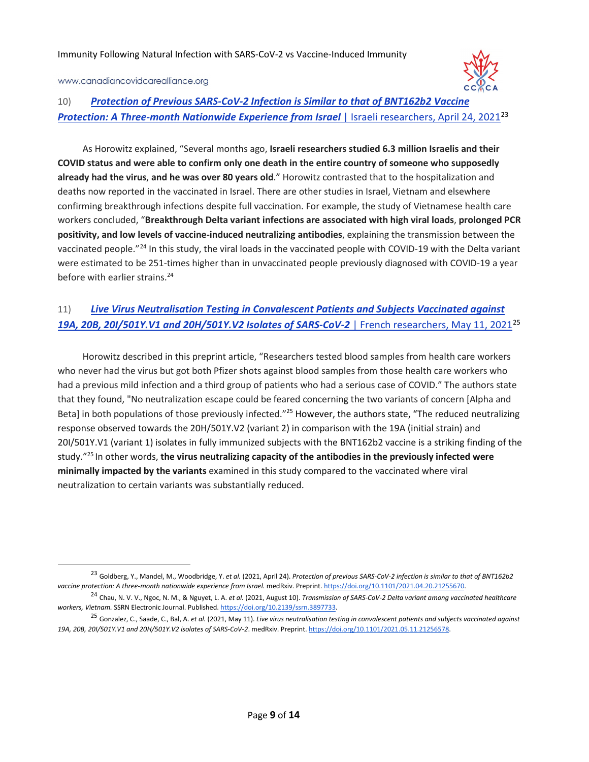

### 10) *Protection of Previous SARS-CoV-2 Infection is Similar to that of BNT162b2 Vaccine*  **Protection: A Three-month Nationwide Experience from Israel | Israeli researchers, April 24, 2021<sup>23</sup>**

As Horowitz explained, "Several months ago, **Israeli researchers studied 6.3 million Israelis and their COVID status and were able to confirm only one death in the entire country of someone who supposedly already had the virus**, **and he was over 80 years old**." Horowitz contrasted that to the hospitalization and deaths now reported in the vaccinated in Israel. There are other studies in Israel, Vietnam and elsewhere confirming breakthrough infections despite full vaccination. For example, the study of Vietnamese health care workers concluded, "**Breakthrough Delta variant infections are associated with high viral loads**, **prolonged PCR positivity, and low levels of vaccine-induced neutralizing antibodies**, explaining the transmission between the vaccinated people."24 In this study, the viral loads in the vaccinated people with COVID-19 with the Delta variant were estimated to be 251-times higher than in unvaccinated people previously diagnosed with COVID-19 a year before with earlier strains.<sup>24</sup>

### 11) *Live Virus Neutralisation Testing in Convalescent Patients and Subjects Vaccinated against 19A, 20B, 20I/501Y.V1 and 20H/501Y.V2 Isolates of SARS-CoV-2* | French researchers, May 11, 202125

Horowitz described in this preprint article, "Researchers tested blood samples from health care workers who never had the virus but got both Pfizer shots against blood samples from those health care workers who had a previous mild infection and a third group of patients who had a serious case of COVID." The authors state that they found, "No neutralization escape could be feared concerning the two variants of concern [Alpha and Beta] in both populations of those previously infected."<sup>25</sup> However, the authors state, "The reduced neutralizing response observed towards the 20H/501Y.V2 (variant 2) in comparison with the 19A (initial strain) and 20I/501Y.V1 (variant 1) isolates in fully immunized subjects with the BNT162b2 vaccine is a striking finding of the study."25 In other words, **the virus neutralizing capacity of the antibodies in the previously infected were minimally impacted by the variants** examined in this study compared to the vaccinated where viral neutralization to certain variants was substantially reduced.

 <sup>23</sup> Goldberg, Y., Mandel, M., Woodbridge, Y. *et al.* (2021, April 24). *Protection of previous SARS-CoV-2 infection is similar to that of BNT162b2 vaccine protection: A three-month nationwide experience from Israel.* medRxiv. Preprint. https://doi.org/10.1101/2021.04.20.21255670.

<sup>24</sup> Chau, N. V. V., Ngoc, N. M., & Nguyet, L. A. *et al.* (2021, August 10). *Transmission of SARS-CoV-2 Delta variant among vaccinated healthcare workers, Vietnam.* SSRN Electronic Journal. Published. https://doi.org/10.2139/ssrn.3897733.

<sup>25</sup> Gonzalez, C., Saade, C., Bal, A. *et al.* (2021, May 11). *Live virus neutralisation testing in convalescent patients and subjects vaccinated against 19A, 20B, 20I/501Y.V1 and 20H/501Y.V2 isolates of SARS-CoV-2*. medRxiv. Preprint. https://doi.org/10.1101/2021.05.11.21256578.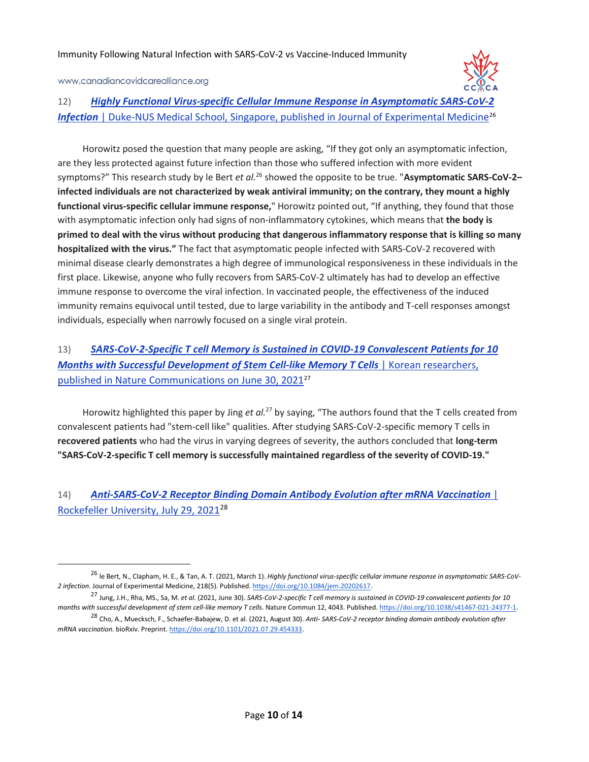

### 12) *Highly Functional Virus-specific Cellular Immune Response in Asymptomatic SARS-CoV-2*  **Infection** | Duke-NUS Medical School, Singapore, published in Journal of Experimental Medicine<sup>26</sup>

Horowitz posed the question that many people are asking, "If they got only an asymptomatic infection, are they less protected against future infection than those who suffered infection with more evident symptoms?" This research study by le Bert *et al.*<sup>26</sup> showed the opposite to be true. "Asymptomatic SARS-CoV-2– **infected individuals are not characterized by weak antiviral immunity; on the contrary, they mount a highly functional virus-specific cellular immune response,**" Horowitz pointed out, "If anything, they found that those with asymptomatic infection only had signs of non-inflammatory cytokines, which means that **the body is primed to deal with the virus without producing that dangerous inflammatory response that is killing so many hospitalized with the virus."** The fact that asymptomatic people infected with SARS-CoV-2 recovered with minimal disease clearly demonstrates a high degree of immunological responsiveness in these individuals in the first place. Likewise, anyone who fully recovers from SARS-CoV-2 ultimately has had to develop an effective immune response to overcome the viral infection. In vaccinated people, the effectiveness of the induced immunity remains equivocal until tested, due to large variability in the antibody and T-cell responses amongst individuals, especially when narrowly focused on a single viral protein.

# 13) *SARS-CoV-2-Specific T cell Memory is Sustained in COVID-19 Convalescent Patients for 10*  **Months with Successful Development of Stem Cell-like Memory T Cells** | Korean researchers, published in Nature Communications on June 30, 202127

Horowitz highlighted this paper by Jing *et al.*<sup>27</sup> by saying, "The authors found that the T cells created from convalescent patients had "stem-cell like" qualities. After studying SARS-CoV-2-specific memory T cells in **recovered patients** who had the virus in varying degrees of severity, the authors concluded that **long-term "SARS-CoV-2-specific T cell memory is successfully maintained regardless of the severity of COVID-19."**

### 14) *Anti-SARS-CoV-2 Receptor Binding Domain Antibody Evolution after mRNA Vaccination* | Rockefeller University, July 29, 202128

 <sup>26</sup> le Bert, N., Clapham, H. E., & Tan, A. T. (2021, March 1). *Highly functional virus-specific cellular immune response in asymptomatic SARS-CoV-2 infection*. Journal of Experimental Medicine, 218(5). Published. https://doi.org/10.1084/jem.20202617.

<sup>27</sup> Jung, J.H., Rha, MS., Sa, M. *et al.* (2021, June 30). *SARS-CoV-2-specific T cell memory is sustained in COVID-19 convalescent patients for 10 months with successful development of stem cell-like memory T cells*. Nature Commun 12, 4043. Published. https://doi.org/10.1038/s41467-021-24377-1.

<sup>28</sup> Cho, A., Muecksch, F., Schaefer-Babajew, D. et al. (2021, August 30). *Anti- SARS-CoV-2 receptor binding domain antibody evolution after mRNA vaccination.* bioRxiv. Preprint. https://doi.org/10.1101/2021.07.29.454333.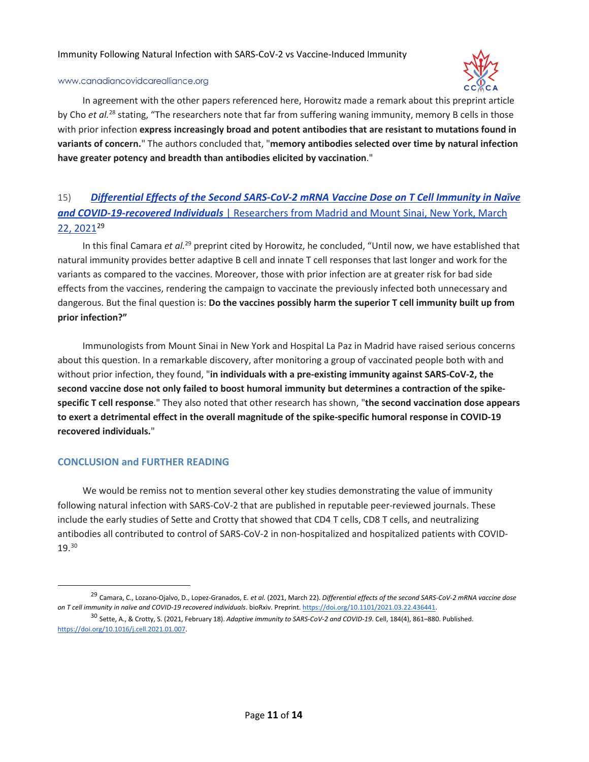

#### www.canadiancovidcarealliance.org

In agreement with the other papers referenced here, Horowitz made a remark about this preprint article by Cho *et al.*<sup>28</sup> stating, "The researchers note that far from suffering waning immunity, memory B cells in those with prior infection **express increasingly broad and potent antibodies that are resistant to mutations found in variants of concern.**" The authors concluded that, "**memory antibodies selected over time by natural infection have greater potency and breadth than antibodies elicited by vaccination**."

# 15) *Differential Effects of the Second SARS-CoV-2 mRNA Vaccine Dose on T Cell Immunity in Naïve and COVID-19-recovered Individuals* | Researchers from Madrid and Mount Sinai, New York, March 22, 202129

In this final Camara *et al.*<sup>29</sup> preprint cited by Horowitz, he concluded, "Until now, we have established that natural immunity provides better adaptive B cell and innate T cell responses that last longer and work for the variants as compared to the vaccines. Moreover, those with prior infection are at greater risk for bad side effects from the vaccines, rendering the campaign to vaccinate the previously infected both unnecessary and dangerous. But the final question is: **Do the vaccines possibly harm the superior T cell immunity built up from prior infection?"** 

Immunologists from Mount Sinai in New York and Hospital La Paz in Madrid have raised serious concerns about this question. In a remarkable discovery, after monitoring a group of vaccinated people both with and without prior infection, they found, "**in individuals with a pre-existing immunity against SARS-CoV-2, the second vaccine dose not only failed to boost humoral immunity but determines a contraction of the spikespecific T cell response**." They also noted that other research has shown, "**the second vaccination dose appears to exert a detrimental effect in the overall magnitude of the spike-specific humoral response in COVID-19 recovered individuals.**"

### **CONCLUSION and FURTHER READING**

We would be remiss not to mention several other key studies demonstrating the value of immunity following natural infection with SARS-CoV-2 that are published in reputable peer-reviewed journals. These include the early studies of Sette and Crotty that showed that CD4 T cells, CD8 T cells, and neutralizing antibodies all contributed to control of SARS-CoV-2 in non-hospitalized and hospitalized patients with COVID-19.30

 <sup>29</sup> Camara, C., Lozano-Ojalvo, D., Lopez-Granados, <sup>E</sup>*. et al.* (2021, March 22). *Differential effects of the second SARS-CoV-2 mRNA vaccine dose on T cell immunity in naïve and COVID-19 recovered individuals*. bioRxiv. Preprint. https://doi.org/10.1101/2021.03.22.436441.

<sup>30</sup> Sette, A., & Crotty, S. (2021, February 18). *Adaptive immunity to SARS-CoV-2 and COVID-19*. Cell, 184(4), 861–880. Published. https://doi.org/10.1016/j.cell.2021.01.007.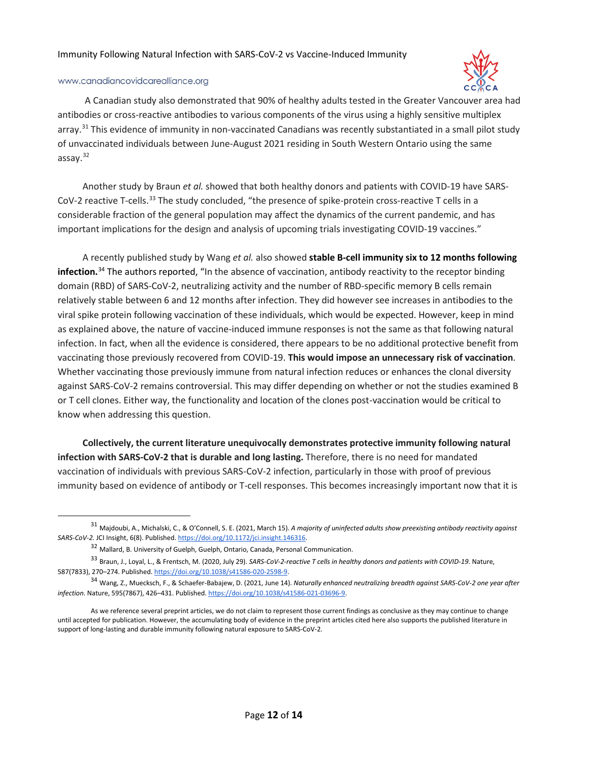

#### www.canadiancovidcarealliance.org

A Canadian study also demonstrated that 90% of healthy adults tested in the Greater Vancouver area had antibodies or cross-reactive antibodies to various components of the virus using a highly sensitive multiplex arrav.<sup>31</sup> This evidence of immunity in non-vaccinated Canadians was recently substantiated in a small pilot study of unvaccinated individuals between June-August 2021 residing in South Western Ontario using the same assay.32

Another study by Braun *et al.* showed that both healthy donors and patients with COVID-19 have SARS-CoV-2 reactive T-cells.<sup>33</sup> The study concluded, "the presence of spike-protein cross-reactive T cells in a considerable fraction of the general population may affect the dynamics of the current pandemic, and has important implications for the design and analysis of upcoming trials investigating COVID-19 vaccines."

A recently published study by Wang *et al.* also showed **stable B-cell immunity six to 12 months following infection.**<sup>34</sup> The authors reported, "In the absence of vaccination, antibody reactivity to the receptor binding domain (RBD) of SARS-CoV-2, neutralizing activity and the number of RBD-specific memory B cells remain relatively stable between 6 and 12 months after infection. They did however see increases in antibodies to the viral spike protein following vaccination of these individuals, which would be expected. However, keep in mind as explained above, the nature of vaccine-induced immune responses is not the same as that following natural infection. In fact, when all the evidence is considered, there appears to be no additional protective benefit from vaccinating those previously recovered from COVID-19. **This would impose an unnecessary risk of vaccination**. Whether vaccinating those previously immune from natural infection reduces or enhances the clonal diversity against SARS-CoV-2 remains controversial. This may differ depending on whether or not the studies examined B or T cell clones. Either way, the functionality and location of the clones post-vaccination would be critical to know when addressing this question.

**Collectively, the current literature unequivocally demonstrates protective immunity following natural infection with SARS-CoV-2 that is durable and long lasting.** Therefore, there is no need for mandated vaccination of individuals with previous SARS-CoV-2 infection, particularly in those with proof of previous immunity based on evidence of antibody or T-cell responses. This becomes increasingly important now that it is

 <sup>31</sup> Majdoubi, A., Michalski, C., & O'Connell, S. E. (2021, March 15). *A majority of uninfected adults show preexisting antibody reactivity against SARS-CoV-2.* JCI Insight, 6(8). Published. https://doi.org/10.1172/jci.insight.146316.

<sup>&</sup>lt;sup>32</sup> Mallard, B. University of Guelph, Guelph, Ontario, Canada, Personal Communication.

<sup>33</sup> Braun, J., Loyal, L., & Frentsch, M. (2020, July 29). *SARS-CoV-2-reactive T cells in healthy donors and patients with COVID-19*. Nature, 587(7833), 270–274. Published. https://doi.org/10.1038/s41586-020-2598-9.

<sup>34</sup> Wang, Z., Muecksch, F., & Schaefer-Babajew, D. (2021, June 14). *Naturally enhanced neutralizing breadth against SARS-CoV-2 one year after infection*. Nature, 595(7867), 426–431. Published. https://doi.org/10.1038/s41586-021-03696-9.

As we reference several preprint articles, we do not claim to represent those current findings as conclusive as they may continue to change until accepted for publication. However, the accumulating body of evidence in the preprint articles cited here also supports the published literature in support of long-lasting and durable immunity following natural exposure to SARS-CoV-2.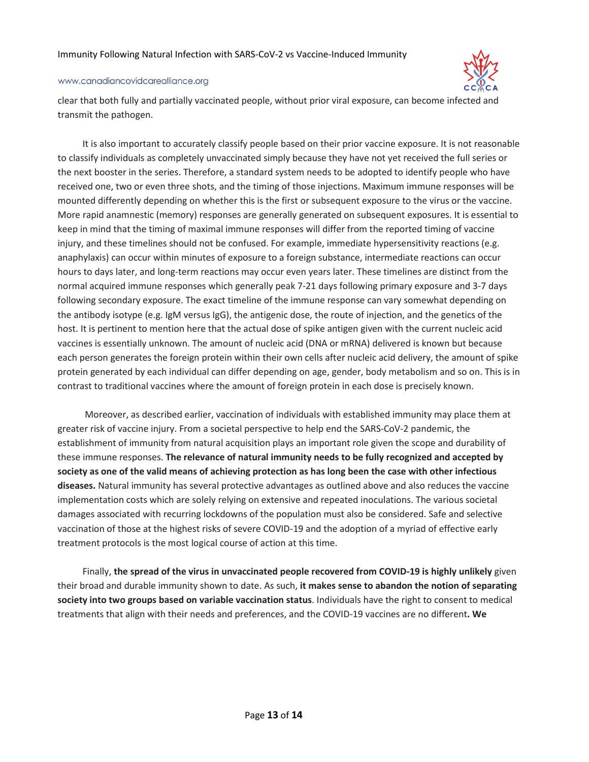

#### www.canadiancovidcarealliance.org

clear that both fully and partially vaccinated people, without prior viral exposure, can become infected and transmit the pathogen.

It is also important to accurately classify people based on their prior vaccine exposure. It is not reasonable to classify individuals as completely unvaccinated simply because they have not yet received the full series or the next booster in the series. Therefore, a standard system needs to be adopted to identify people who have received one, two or even three shots, and the timing of those injections. Maximum immune responses will be mounted differently depending on whether this is the first or subsequent exposure to the virus or the vaccine. More rapid anamnestic (memory) responses are generally generated on subsequent exposures. It is essential to keep in mind that the timing of maximal immune responses will differ from the reported timing of vaccine injury, and these timelines should not be confused. For example, immediate hypersensitivity reactions (e.g. anaphylaxis) can occur within minutes of exposure to a foreign substance, intermediate reactions can occur hours to days later, and long-term reactions may occur even years later. These timelines are distinct from the normal acquired immune responses which generally peak 7-21 days following primary exposure and 3-7 days following secondary exposure. The exact timeline of the immune response can vary somewhat depending on the antibody isotype (e.g. IgM versus IgG), the antigenic dose, the route of injection, and the genetics of the host. It is pertinent to mention here that the actual dose of spike antigen given with the current nucleic acid vaccines is essentially unknown. The amount of nucleic acid (DNA or mRNA) delivered is known but because each person generates the foreign protein within their own cells after nucleic acid delivery, the amount of spike protein generated by each individual can differ depending on age, gender, body metabolism and so on. This is in contrast to traditional vaccines where the amount of foreign protein in each dose is precisely known.

Moreover, as described earlier, vaccination of individuals with established immunity may place them at greater risk of vaccine injury. From a societal perspective to help end the SARS-CoV-2 pandemic, the establishment of immunity from natural acquisition plays an important role given the scope and durability of these immune responses. **The relevance of natural immunity needs to be fully recognized and accepted by society as one of the valid means of achieving protection as has long been the case with other infectious diseases.** Natural immunity has several protective advantages as outlined above and also reduces the vaccine implementation costs which are solely relying on extensive and repeated inoculations. The various societal damages associated with recurring lockdowns of the population must also be considered. Safe and selective vaccination of those at the highest risks of severe COVID-19 and the adoption of a myriad of effective early treatment protocols is the most logical course of action at this time.

Finally, **the spread of the virus in unvaccinated people recovered from COVID-19 is highly unlikely** given their broad and durable immunity shown to date. As such, **it makes sense to abandon the notion of separating society into two groups based on variable vaccination status**. Individuals have the right to consent to medical treatments that align with their needs and preferences, and the COVID-19 vaccines are no different**. We**